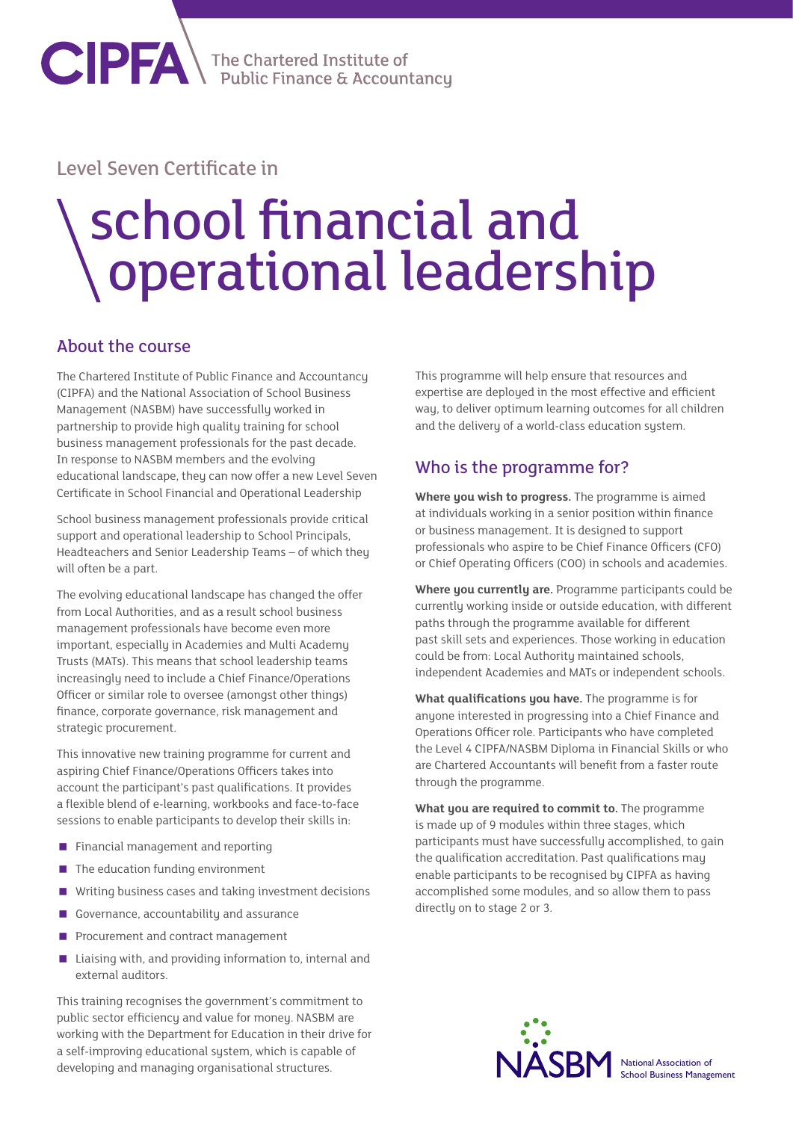**CIPFA** The Chartered Institute of

## Level Seven Certificate in

## school financial and operational leadership

## About the course

The Chartered Institute of Public Finance and Accountancy (CIPFA) and the National Association of School Business Management (NASBM) have successfully worked in partnership to provide high quality training for school business management professionals for the past decade. In response to NASBM members and the evolving educational landscape, they can now offer a new Level Seven Certificate in School Financial and Operational Leadership

School business management professionals provide critical support and operational leadership to School Principals, Headteachers and Senior Leadership Teams – of which they will often be a part.

The evolving educational landscape has changed the offer from Local Authorities, and as a result school business management professionals have become even more important, especially in Academies and Multi Academy Trusts (MATs). This means that school leadership teams increasingly need to include a Chief Finance/Operations Officer or similar role to oversee (amongst other things) finance, corporate governance, risk management and strategic procurement.

This innovative new training programme for current and aspiring Chief Finance/Operations Officers takes into account the participant's past qualifications. It provides a flexible blend of e-learning, workbooks and face-to-face sessions to enable participants to develop their skills in:

- **Financial management and reporting**
- $\blacksquare$  The education funding environment
- Writing business cases and taking investment decisions
- Governance, accountability and assurance
- Procurement and contract management
- Liaising with, and providing information to, internal and external auditors.

This training recognises the government's commitment to public sector efficiency and value for money. NASBM are working with the Department for Education in their drive for a self-improving educational system, which is capable of developing and managing organisational structures.

This programme will help ensure that resources and expertise are deployed in the most effective and efficient way, to deliver optimum learning outcomes for all children and the delivery of a world-class education system.

## Who is the programme for?

**Where you wish to progress.** The programme is aimed at individuals working in a senior position within finance or business management. It is designed to support professionals who aspire to be Chief Finance Officers (CFO) or Chief Operating Officers (COO) in schools and academies.

**Where you currently are.** Programme participants could be currently working inside or outside education, with different paths through the programme available for different past skill sets and experiences. Those working in education could be from: Local Authority maintained schools, independent Academies and MATs or independent schools.

**What qualifications you have.** The programme is for anyone interested in progressing into a Chief Finance and Operations Officer role. Participants who have completed the Level 4 CIPFA/NASBM Diploma in Financial Skills or who are Chartered Accountants will benefit from a faster route through the programme.

**What you are required to commit to.** The programme is made up of 9 modules within three stages, which participants must have successfully accomplished, to gain the qualification accreditation. Past qualifications may enable participants to be recognised by CIPFA as having accomplished some modules, and so allow them to pass directly on to stage 2 or 3.



**National Association of** School Business Management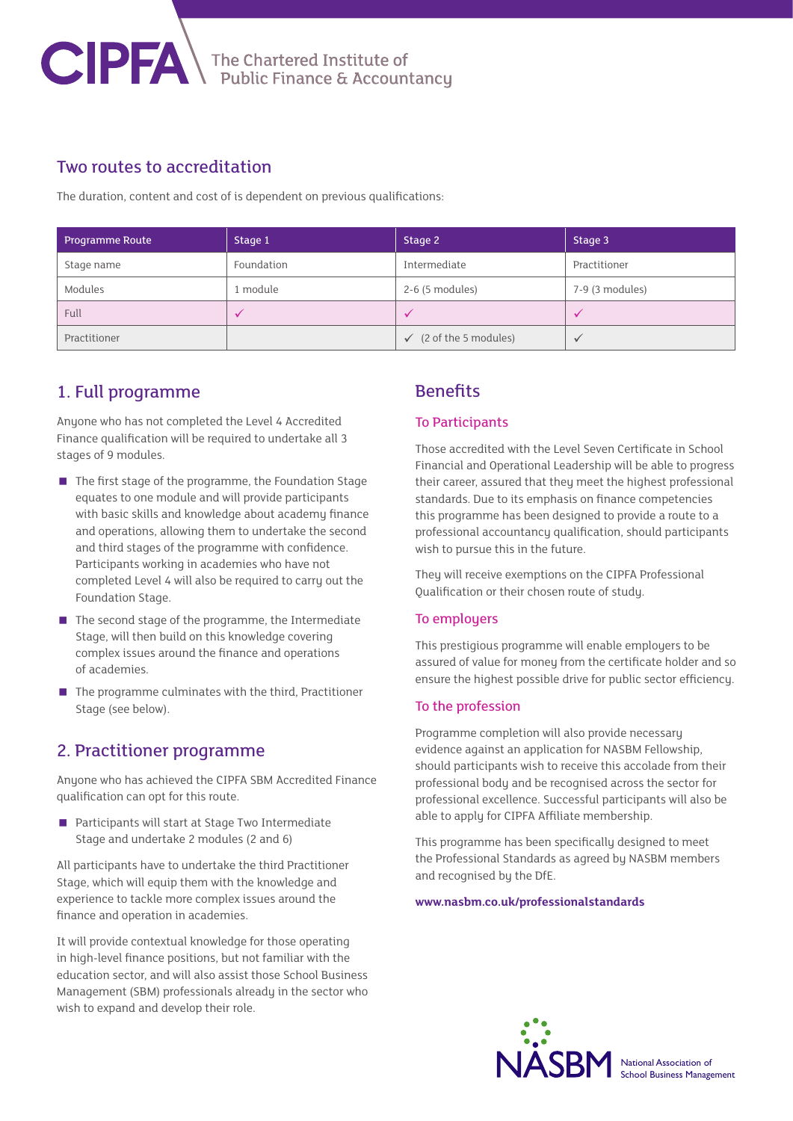

## Two routes to accreditation

The duration, content and cost of is dependent on previous qualifications:

| <b>Programme Route</b> | Stage 1    | Stage 2                           | Stage 3         |
|------------------------|------------|-----------------------------------|-----------------|
| Stage name             | Foundation | Intermediate                      | Practitioner    |
| Modules                | 1 module   | 2-6 (5 modules)                   | 7-9 (3 modules) |
| Full                   |            | $\sqrt{}$                         |                 |
| Practitioner           |            | $\checkmark$ (2 of the 5 modules) |                 |

## 1. Full programme

Anyone who has not completed the Level 4 Accredited Finance qualification will be required to undertake all 3 stages of 9 modules.

- The first stage of the programme, the Foundation Stage equates to one module and will provide participants with basic skills and knowledge about academy finance and operations, allowing them to undertake the second and third stages of the programme with confidence. Participants working in academies who have not completed Level 4 will also be required to carry out the Foundation Stage.
- $\blacksquare$  The second stage of the programme, the Intermediate Stage, will then build on this knowledge covering complex issues around the finance and operations of academies.
- $\blacksquare$  The programme culminates with the third, Practitioner Stage (see below).

## 2. Practitioner programme

Anyone who has achieved the CIPFA SBM Accredited Finance qualification can opt for this route.

**Participants will start at Stage Two Intermediate** Stage and undertake 2 modules (2 and 6)

All participants have to undertake the third Practitioner Stage, which will equip them with the knowledge and experience to tackle more complex issues around the finance and operation in academies.

It will provide contextual knowledge for those operating in high-level finance positions, but not familiar with the education sector, and will also assist those School Business Management (SBM) professionals already in the sector who wish to expand and develop their role.

## **Benefits**

#### To Participants

Those accredited with the Level Seven Certificate in School Financial and Operational Leadership will be able to progress their career, assured that they meet the highest professional standards. Due to its emphasis on finance competencies this programme has been designed to provide a route to a professional accountancy qualification, should participants wish to pursue this in the future.

They will receive exemptions on the CIPFA Professional Qualification or their chosen route of study.

#### To employers

This prestigious programme will enable employers to be assured of value for money from the certificate holder and so ensure the highest possible drive for public sector efficiency.

#### To the profession

Programme completion will also provide necessary evidence against an application for NASBM Fellowship, should participants wish to receive this accolade from their professional body and be recognised across the sector for professional excellence. Successful participants will also be able to apply for CIPFA Affiliate membership.

This programme has been specifically designed to meet the Professional Standards as agreed by NASBM members and recognised by the DfE.

#### **www.nasbm.co.uk/professionalstandards**



National Association of School Business Management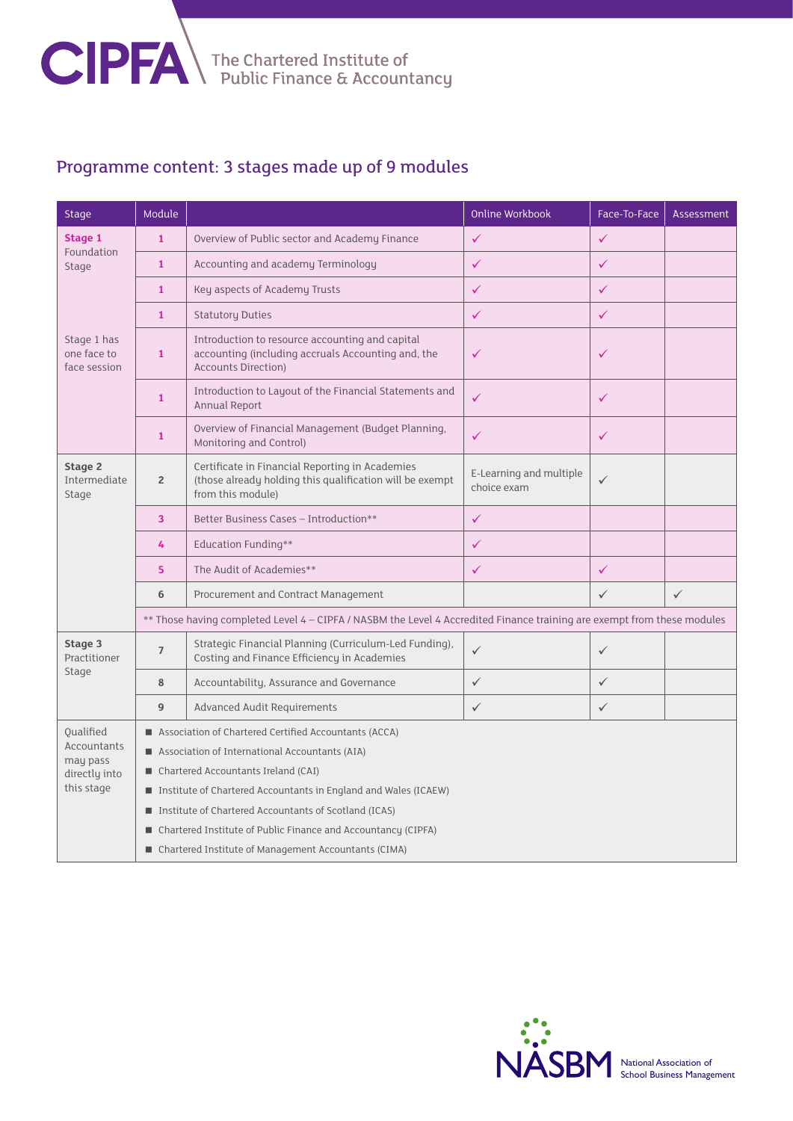

## Programme content: 3 stages made up of 9 modules

| <b>Stage</b>                                                                 | Module                                                                                                                  |                                                                                                                                     | <b>Online Workbook</b>                 | Face-To-Face | Assessment   |  |  |
|------------------------------------------------------------------------------|-------------------------------------------------------------------------------------------------------------------------|-------------------------------------------------------------------------------------------------------------------------------------|----------------------------------------|--------------|--------------|--|--|
| Stage 1<br>Foundation<br>Stage<br>Stage 1 has<br>one face to<br>face session | $\mathbf{1}$                                                                                                            | Overview of Public sector and Academy Finance                                                                                       | ✓                                      | $\checkmark$ |              |  |  |
|                                                                              | $\mathbf{1}$                                                                                                            | Accounting and academy Terminology                                                                                                  | $\checkmark$                           | $\checkmark$ |              |  |  |
|                                                                              | $\mathbf{1}$                                                                                                            | Key aspects of Academy Trusts                                                                                                       | $\checkmark$                           | $\checkmark$ |              |  |  |
|                                                                              | $\mathbf{1}$                                                                                                            | <b>Statutory Duties</b>                                                                                                             | $\checkmark$                           | $\checkmark$ |              |  |  |
|                                                                              | $\mathbf{1}$                                                                                                            | Introduction to resource accounting and capital<br>accounting (including accruals Accounting and, the<br><b>Accounts Direction)</b> | $\checkmark$                           | $\checkmark$ |              |  |  |
|                                                                              | $\mathbf{1}$                                                                                                            | Introduction to Layout of the Financial Statements and<br>Annual Report                                                             | $\checkmark$                           | $\checkmark$ |              |  |  |
|                                                                              | $\mathbf{1}$                                                                                                            | Overview of Financial Management (Budget Planning,<br>Monitoring and Control)                                                       | $\checkmark$                           | $\checkmark$ |              |  |  |
| Stage 2<br>Intermediate<br>Stage                                             | $\overline{2}$                                                                                                          | Certificate in Financial Reporting in Academies<br>(those already holding this qualification will be exempt<br>from this module)    | E-Learning and multiple<br>choice exam | $\checkmark$ |              |  |  |
|                                                                              | 3                                                                                                                       | Better Business Cases - Introduction**                                                                                              | $\checkmark$                           |              |              |  |  |
|                                                                              | 4                                                                                                                       | <b>Education Funding**</b>                                                                                                          | $\checkmark$                           |              |              |  |  |
|                                                                              | 5                                                                                                                       | The Audit of Academies**                                                                                                            | $\checkmark$                           | $\checkmark$ |              |  |  |
|                                                                              | 6                                                                                                                       | Procurement and Contract Management                                                                                                 |                                        | $\checkmark$ | $\checkmark$ |  |  |
|                                                                              | ** Those having completed Level 4 - CIPFA / NASBM the Level 4 Accredited Finance training are exempt from these modules |                                                                                                                                     |                                        |              |              |  |  |
| Stage 3<br>Practitioner<br>Stage                                             | $\overline{7}$                                                                                                          | Strategic Financial Planning (Curriculum-Led Funding),<br>Costing and Finance Efficiency in Academies                               | $\checkmark$                           | $\checkmark$ |              |  |  |
|                                                                              | 8                                                                                                                       | Accountability, Assurance and Governance                                                                                            | $\checkmark$                           | $\checkmark$ |              |  |  |
|                                                                              | 9                                                                                                                       | Advanced Audit Requirements                                                                                                         | $\checkmark$                           | $\checkmark$ |              |  |  |
| Oualified<br>Accountants<br>may pass<br>directly into<br>this stage          | Association of Chartered Certified Accountants (ACCA)                                                                   |                                                                                                                                     |                                        |              |              |  |  |
|                                                                              | ■ Association of International Accountants (AIA)                                                                        |                                                                                                                                     |                                        |              |              |  |  |
|                                                                              | ■ Chartered Accountants Ireland (CAI)                                                                                   |                                                                                                                                     |                                        |              |              |  |  |
|                                                                              | ■ Institute of Chartered Accountants in England and Wales (ICAEW)                                                       |                                                                                                                                     |                                        |              |              |  |  |
|                                                                              | ■ Institute of Chartered Accountants of Scotland (ICAS)                                                                 |                                                                                                                                     |                                        |              |              |  |  |
|                                                                              | ■ Chartered Institute of Public Finance and Accountancy (CIPFA)                                                         |                                                                                                                                     |                                        |              |              |  |  |
|                                                                              | ■ Chartered Institute of Management Accountants (CIMA)                                                                  |                                                                                                                                     |                                        |              |              |  |  |